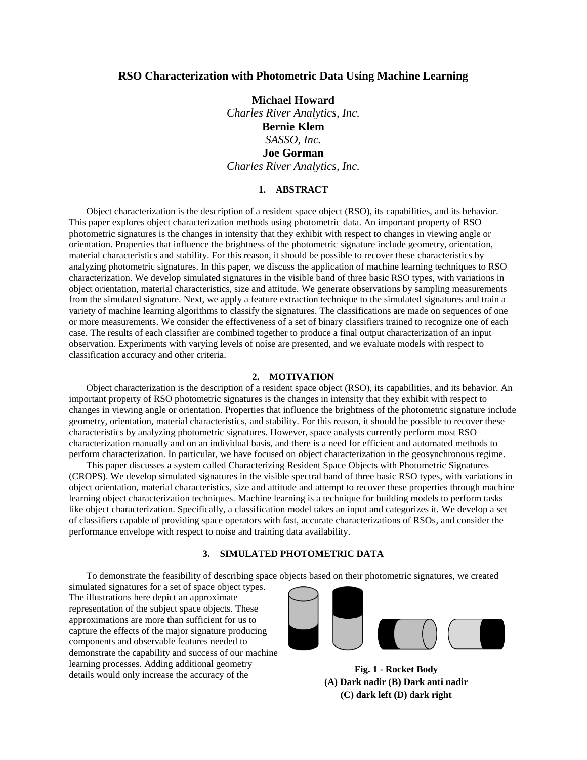# **RSO Characterization with Photometric Data Using Machine Learning**

**Michael Howard** *Charles River Analytics, Inc.* **Bernie Klem** *SASSO, Inc.* **Joe Gorman** *Charles River Analytics, Inc.*

### **1. ABSTRACT**

Object characterization is the description of a resident space object (RSO), its capabilities, and its behavior. This paper explores object characterization methods using photometric data. An important property of RSO photometric signatures is the changes in intensity that they exhibit with respect to changes in viewing angle or orientation. Properties that influence the brightness of the photometric signature include geometry, orientation, material characteristics and stability. For this reason, it should be possible to recover these characteristics by analyzing photometric signatures. In this paper, we discuss the application of machine learning techniques to RSO characterization. We develop simulated signatures in the visible band of three basic RSO types, with variations in object orientation, material characteristics, size and attitude. We generate observations by sampling measurements from the simulated signature. Next, we apply a feature extraction technique to the simulated signatures and train a variety of machine learning algorithms to classify the signatures. The classifications are made on sequences of one or more measurements. We consider the effectiveness of a set of binary classifiers trained to recognize one of each case. The results of each classifier are combined together to produce a final output characterization of an input observation. Experiments with varying levels of noise are presented, and we evaluate models with respect to classification accuracy and other criteria.

#### **2. MOTIVATION**

Object characterization is the description of a resident space object (RSO), its capabilities, and its behavior. An important property of RSO photometric signatures is the changes in intensity that they exhibit with respect to changes in viewing angle or orientation. Properties that influence the brightness of the photometric signature include geometry, orientation, material characteristics, and stability. For this reason, it should be possible to recover these characteristics by analyzing photometric signatures. However, space analysts currently perform most RSO characterization manually and on an individual basis, and there is a need for efficient and automated methods to perform characterization. In particular, we have focused on object characterization in the geosynchronous regime.

This paper discusses a system called Characterizing Resident Space Objects with Photometric Signatures (CROPS). We develop simulated signatures in the visible spectral band of three basic RSO types, with variations in object orientation, material characteristics, size and attitude and attempt to recover these properties through machine learning object characterization techniques. Machine learning is a technique for building models to perform tasks like object characterization. Specifically, a classification model takes an input and categorizes it. We develop a set of classifiers capable of providing space operators with fast, accurate characterizations of RSOs, and consider the performance envelope with respect to noise and training data availability.

# **3. SIMULATED PHOTOMETRIC DATA**

To demonstrate the feasibility of describing space objects based on their photometric signatures, we created

simulated signatures for a set of space object types. The illustrations here depict an approximate representation of the subject space objects. These approximations are more than sufficient for us to capture the effects of the major signature producing components and observable features needed to demonstrate the capability and success of our machine learning processes. Adding additional geometry details would only increase the accuracy of the **Fig. 1 - Rocket Body** details would only increase the accuracy of the



<span id="page-0-0"></span>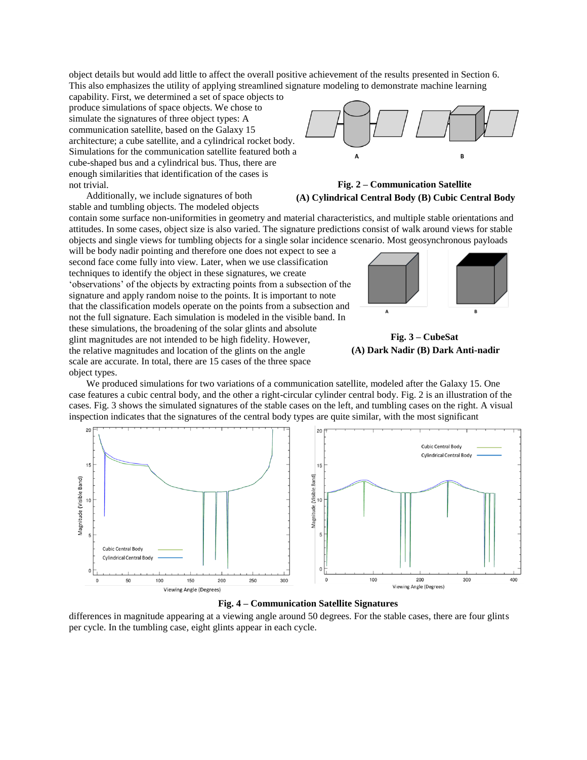object details but would add little to affect the overall positive achievement of the results presented in Sectio[n 6.](#page-5-0) This also emphasizes the utility of applying streamlined signature modeling to demonstrate machine learning

capability. First, we determined a set of space objects to produce simulations of space objects. We chose to simulate the signatures of three object types: A communication satellite, based on the Galaxy 15 architecture; a cube satellite, and a cylindrical rocket body. Simulations for the communication satellite featured both a cube-shaped bus and a cylindrical bus. Thus, there are enough similarities that identification of the cases is not trivial.

Additionally, we include signatures of both stable and tumbling objects. The modeled objects

contain some surface non-uniformities in geometry and material characteristics, and multiple stable orientations and attitudes. In some cases, object size is also varied. The signature predictions consist of walk around views for stable objects and single views for tumbling objects for a single solar incidence scenario. Most geosynchronous payloads

will be body nadir pointing and therefore one does not expect to see a second face come fully into view. Later, when we use classification techniques to identify the object in these signatures, we create 'observations' of the objects by extracting points from a subsection of the signature and apply random noise to the points. It is important to note that the classification models operate on the points from a subsection and not the full signature. Each simulation is modeled in the visible band. In these simulations, the broadening of the solar glints and absolute glint magnitudes are not intended to be high fidelity. However, the relative magnitudes and location of the glints on the angle scale are accurate. In total, there are 15 cases of the three space object types.



<span id="page-1-0"></span>**Fig. 2 – Communication Satellite (A) Cylindrical Central Body (B) Cubic Central Body**





We produced simulations for two variations of a communication satellite, modeled after the Galaxy 15. One case features a cubic central body, and the other a right-circular cylinder central body. [Fig. 2](#page-1-0) is an illustration of the cases. [Fig. 3](#page-1-1) shows the simulated signatures of the stable cases on the left, and tumbling cases on the right. A visual inspection indicates that the signatures of the central body types are quite similar, with the most significant



**Fig. 4 – Communication Satellite Signatures**

<span id="page-1-1"></span>differences in magnitude appearing at a viewing angle around 50 degrees. For the stable cases, there are four glints per cycle. In the tumbling case, eight glints appear in each cycle.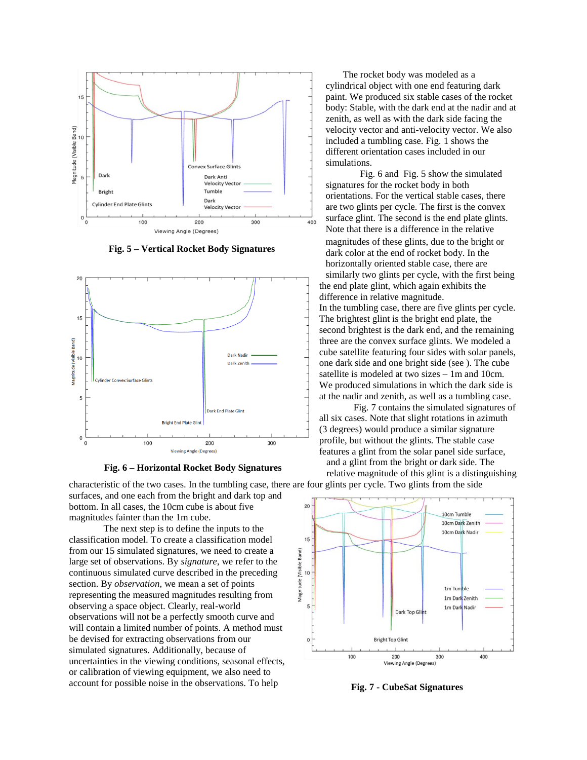

**Fig. 5 – Vertical Rocket Body Signatures**

<span id="page-2-0"></span>



<span id="page-2-1"></span>characteristic of the two cases. In the tumbling case, there are four glints per cycle. Two glints from the side surfaces, and one each from the bright and dark top and bottom. In all cases, the 10cm cube is about five magnitudes fainter than the 1m cube.

The next step is to define the inputs to the classification model. To create a classification model from our 15 simulated signatures, we need to create a large set of observations. By *signature*, we refer to the continuous simulated curve described in the preceding section. By *observation*, we mean a set of points representing the measured magnitudes resulting from observing a space object. Clearly, real-world observations will not be a perfectly smooth curve and will contain a limited number of points. A method must be devised for extracting observations from our simulated signatures. Additionally, because of uncertainties in the viewing conditions, seasonal effects, or calibration of viewing equipment, we also need to account for possible noise in the observations. To help **Fig. 7 - CubeSat Signatures**

The rocket body was modeled as a cylindrical object with one end featuring dark paint. We produced six stable cases of the rocket body: Stable, with the dark end at the nadir and at zenith, as well as with the dark side facing the velocity vector and anti-velocity vector. We also included a tumbling case. [Fig. 1](#page-0-0) shows the different orientation cases included in our simulations.

[Fig. 6](#page-2-0) and [Fig. 5](#page-2-1) show the simulated signatures for the rocket body in both orientations. For the vertical stable cases, there are two glints per cycle. The first is the convex surface glint. The second is the end plate glints. Note that there is a difference in the relative magnitudes of these glints, due to the bright or dark color at the end of rocket body. In the horizontally oriented stable case, there are similarly two glints per cycle, with the first being the end plate glint, which again exhibits the difference in relative magnitude. In the tumbling case, there are five glints per cycle. The brightest glint is the bright end plate, the second brightest is the dark end, and the remaining three are the convex surface glints. We modeled a cube satellite featuring four sides with solar panels, one dark side and one bright side (see ). The cube satellite is modeled at two sizes – 1m and 10cm. We produced simulations in which the dark side is at the nadir and zenith, as well as a tumbling case.

[Fig. 7](#page-2-2) contains the simulated signatures of all six cases. Note that slight rotations in azimuth (3 degrees) would produce a similar signature profile, but without the glints. The stable case features a glint from the solar panel side surface, and a glint from the bright or dark side. The relative magnitude of this glint is a distinguishing



<span id="page-2-2"></span>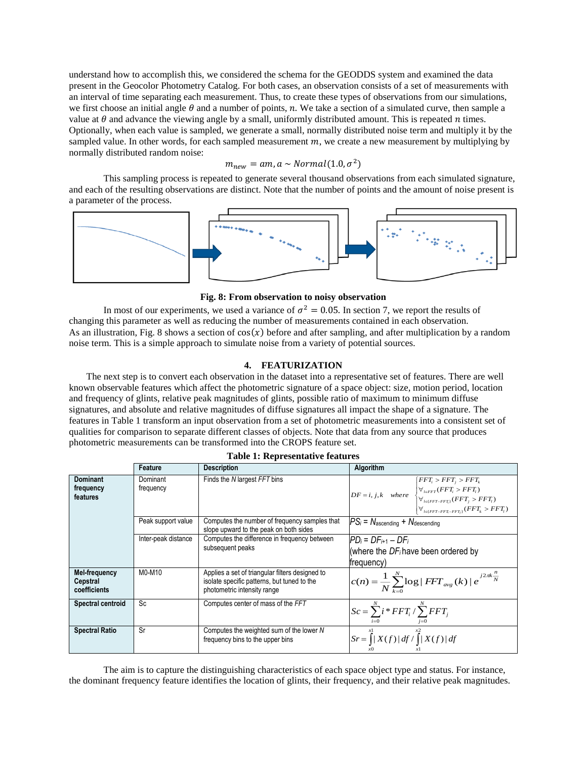understand how to accomplish this, we considered the schema for the GEODDS system and examined the data present in the Geocolor Photometry Catalog. For both cases, an observation consists of a set of measurements with an interval of time separating each measurement. Thus, to create these types of observations from our simulations, we first choose an initial angle  $\theta$  and a number of points, n. We take a section of a simulated curve, then sample a value at  $\theta$  and advance the viewing angle by a small, uniformly distributed amount. This is repeated  $n$  times. Optionally, when each value is sampled, we generate a small, normally distributed noise term and multiply it by the sampled value. In other words, for each sampled measurement  $m$ , we create a new measurement by multiplying by normally distributed random noise:

# $m_{new} = am$ , a  $\sim Normal(1.0, \sigma^2)$

This sampling process is repeated to generate several thousand observations from each simulated signature, and each of the resulting observations are distinct. Note that the number of points and the amount of noise present is a parameter of the process.



#### **Fig. 8: From observation to noisy observation**

<span id="page-3-0"></span>In most of our experiments, we used a variance of  $\sigma^2 = 0.05$ . In section [7,](#page-5-0) we report the results of changing this parameter as well as reducing the number of measurements contained in each observation. As an illustration, [Fig. 8](#page-3-0) shows a section of  $cos(x)$  before and after sampling, and after multiplication by a random noise term. This is a simple approach to simulate noise from a variety of potential sources.

## **4. FEATURIZATION**

<span id="page-3-2"></span>The next step is to convert each observation in the dataset into a representative set of features. There are well known observable features which affect the photometric signature of a space object: size, motion period, location and frequency of glints, relative peak magnitudes of glints, possible ratio of maximum to minimum diffuse signatures, and absolute and relative magnitudes of diffuse signatures all impact the shape of a signature. The features in [Table 1](#page-3-1) transform an input observation from a set of photometric measurements into a consistent set of qualities for comparison to separate different classes of objects. Note that data from any source that produces photometric measurements can be transformed into the CROPS feature set.

<span id="page-3-1"></span>

|                                           | Feature               | <b>Description</b>                                                                                                            | Algorithm                                                                                                                                                                                                                                   |  |  |  |  |
|-------------------------------------------|-----------------------|-------------------------------------------------------------------------------------------------------------------------------|---------------------------------------------------------------------------------------------------------------------------------------------------------------------------------------------------------------------------------------------|--|--|--|--|
| <b>Dominant</b><br>frequency<br>features  | Dominant<br>frequency | Finds the N largest FFT bins                                                                                                  | $\big\{ FFT_i > FFT_i > FFT_k \big\}$<br>$DF = i, j, k$ where $\begin{cases} \forall_{i \in FFT}(FFT_i > FFT_i) \\ \forall_{i \in \{FFT - FFT_i\}}(FFT_j > FFT_i) \end{cases}$<br>$\forall_{i \in \{FFT - FFT_i - FFT_i\}} (FFT_k > FFT_l)$ |  |  |  |  |
|                                           | Peak support value    | Computes the number of frequency samples that<br>slope upward to the peak on both sides                                       | $PS_i = N_{\text{ascending}} + N_{\text{descending}}$                                                                                                                                                                                       |  |  |  |  |
|                                           | Inter-peak distance   | Computes the difference in frequency between<br>subsequent peaks                                                              | $PD_i = DF_{i+1} - DF_i$<br>(where the DF; have been ordered by<br>frequency)                                                                                                                                                               |  |  |  |  |
| Mel-frequency<br>Cepstral<br>coefficients | M0-M10                | Applies a set of triangular filters designed to<br>isolate specific patterns, but tuned to the<br>photometric intensity range | $c(n) = \frac{1}{N} \sum_{k=0}^{N} \log  FFT_{avg}(k)  e^{j2\pi k \frac{n}{N}}$                                                                                                                                                             |  |  |  |  |
| Spectral centroid                         | Sc                    | Computes center of mass of the FFT                                                                                            | $Sc = \sum_{i=1}^{N} i * FFT_i / \sum_{i=1}^{N} FFT_i$                                                                                                                                                                                      |  |  |  |  |
| <b>Spectral Ratio</b>                     | Sr                    | Computes the weighted sum of the lower N<br>frequency bins to the upper bins                                                  | $\left  Sr = \int_{0}^{x_1}  X(f)  df / \int_{0}^{x_2}  X(f)  df \right $                                                                                                                                                                   |  |  |  |  |

|  | <b>Table 1: Representative features</b> |  |
|--|-----------------------------------------|--|
|--|-----------------------------------------|--|

The aim is to capture the distinguishing characteristics of each space object type and status. For instance, the dominant frequency feature identifies the location of glints, their frequency, and their relative peak magnitudes.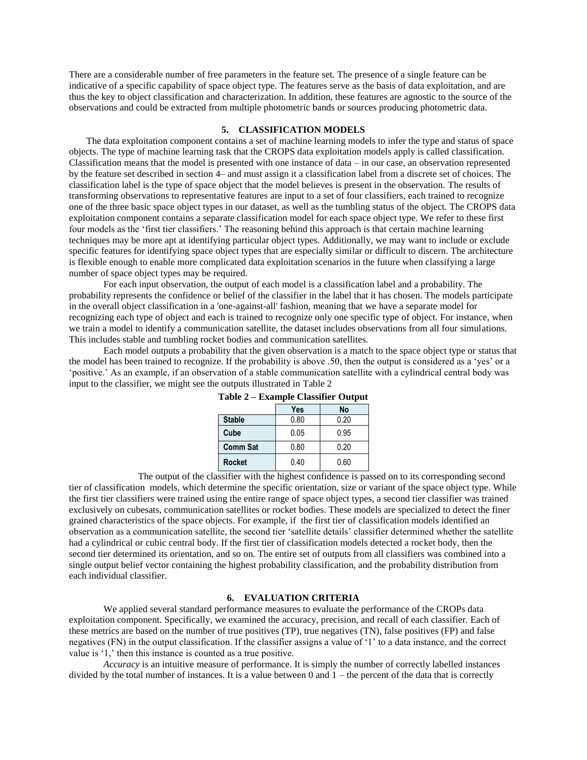There are a considerable number of free parameters in the feature set. The presence of a single feature can be indicative of a specific capability of space object type. The features serve as the basis of data exploitation, and are thus the key to object classification and characterization. In addition, these features are agnostic to the source of the observations and could be extracted from multiple photometric bands or sources producing photometric data.

# **5. CLASSIFICATION MODELS**

The data exploitation component contains a set of machine learning models to infer the type and status of space objects. The type of machine learning task that the CROPS data exploitation models apply is called classification. Classification means that the model is presented with one instance of data – in our case, an observation represented by the feature set described in section [4–](#page-3-2) and must assign it a classification label from a discrete set of choices. The classification label is the type of space object that the model believes is present in the observation. The results of transforming observations to representative features are input to a set of four classifiers, each trained to recognize one of the three basic space object types in our dataset, as well as the tumbling status of the object. The CROPS data exploitation component contains a separate classification model for each space object type. We refer to these first four models as the 'first tier classifiers.' The reasoning behind this approach is that certain machine learning techniques may be more apt at identifying particular object types. Additionally, we may want to include or exclude specific features for identifying space object types that are especially similar or difficult to discern. The architecture is flexible enough to enable more complicated data exploitation scenarios in the future when classifying a large number of space object types may be required.

For each input observation, the output of each model is a classification label and a probability. The probability represents the confidence or belief of the classifier in the label that it has chosen. The models participate in the overall object classification in a 'one-against-all' fashion, meaning that we have a separate model for recognizing each type of object and each is trained to recognize only one specific type of object. For instance, when we train a model to identify a communication satellite, the dataset includes observations from all four simulations. This includes stable and tumbling rocket bodies and communication satellites.

<span id="page-4-0"></span>Each model outputs a probability that the given observation is a match to the space object type or status that the model has been trained to recognize. If the probability is above .50, then the output is considered as a 'yes' or a 'positive.' As an example, if an observation of a stable communication satellite with a cylindrical central body was input to the classifier, we might see the outputs illustrated in [Table 2](#page-4-0)

|                 | Yes  | No   |  |  |  |  |  |  |  |
|-----------------|------|------|--|--|--|--|--|--|--|
| <b>Stable</b>   | 0.80 | 0.20 |  |  |  |  |  |  |  |
| Cube            | 0.05 | 0.95 |  |  |  |  |  |  |  |
| <b>Comm Sat</b> | 0.80 | 0.20 |  |  |  |  |  |  |  |
| <b>Rocket</b>   | 0.40 | 0.60 |  |  |  |  |  |  |  |

**Table 2 – Example Classifier Output**

The output of the classifier with the highest confidence is passed on to its corresponding second tier of classification models, which determine the specific orientation, size or variant of the space object type. While the first tier classifiers were trained using the entire range of space object types, a second tier classifier was trained exclusively on cubesats, communication satellites or rocket bodies. These models are specialized to detect the finer grained characteristics of the space objects. For example, if the first tier of classification models identified an observation as a communication satellite, the second tier 'satellite details' classifier determined whether the satellite had a cylindrical or cubic central body. If the first tier of classification models detected a rocket body, then the second tier determined its orientation, and so on. The entire set of outputs from all classifiers was combined into a single output belief vector containing the highest probability classification, and the probability distribution from each individual classifier.

## **6. EVALUATION CRITERIA**

We applied several standard performance measures to evaluate the performance of the CROPs data exploitation component. Specifically, we examined the accuracy, precision, and recall of each classifier. Each of these metrics are based on the number of true positives (TP), true negatives (TN), false positives (FP) and false negatives (FN) in the output classification. If the classifier assigns a value of '1' to a data instance, and the correct value is '1,' then this instance is counted as a true positive.

*Accuracy* is an intuitive measure of performance. It is simply the number of correctly labelled instances divided by the total number of instances. It is a value between  $0$  and  $1$  – the percent of the data that is correctly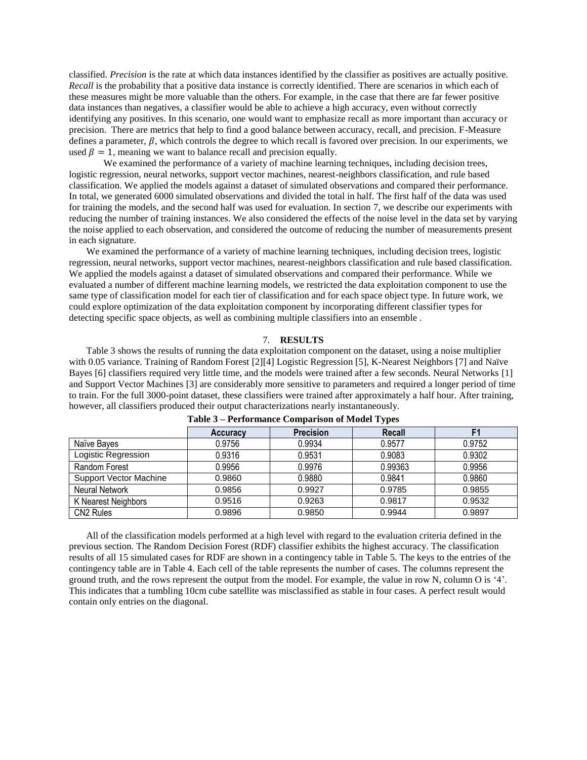classified. *Precision* is the rate at which data instances identified by the classifier as positives are actually positive. *Recall* is the probability that a positive data instance is correctly identified. There are scenarios in which each of these measures might be more valuable than the others. For example, in the case that there are far fewer positive data instances than negatives, a classifier would be able to achieve a high accuracy, even without correctly identifying any positives. In this scenario, one would want to emphasize recall as more important than accuracy or precision. There are metrics that help to find a good balance between accuracy, recall, and precision. F-Measure defines a parameter,  $\beta$ , which controls the degree to which recall is favored over precision. In our experiments, we used  $\beta = 1$ , meaning we want to balance recall and precision equally.

We examined the performance of a variety of machine learning techniques, including decision trees, logistic regression, neural networks, support vector machines, nearest-neighbors classification, and rule based classification. We applied the models against a dataset of simulated observations and compared their performance. In total, we generated 6000 simulated observations and divided the total in half. The first half of the data was used for training the models, and the second half was used for evaluation. In section [7,](#page-5-0) we describe our experiments with reducing the number of training instances. We also considered the effects of the noise level in the data set by varying the noise applied to each observation, and considered the outcome of reducing the number of measurements present in each signature.

We examined the performance of a variety of machine learning techniques, including decision trees, logistic regression, neural networks, support vector machines, nearest-neighbors classification and rule based classification. We applied the models against a dataset of simulated observations and compared their performance. While we evaluated a number of different machine learning models, we restricted the data exploitation component to use the same type of classification model for each tier of classification and for each space object type. In future work, we could explore optimization of the data exploitation component by incorporating different classifier types for detecting specific space objects, as well as combining multiple classifiers into an ensemble .

#### 7. **RESULTS**

<span id="page-5-0"></span>[Table 3](#page-5-1) shows the results of running the data exploitation component on the dataset, using a noise multiplier with 0.05 variance. Training of Random Forest [2][4] Logistic Regression [5], K-Nearest Neighbors [7] and Naïve Bayes [6] classifiers required very little time, and the models were trained after a few seconds. Neural Networks [1] and Support Vector Machines [3] are considerably more sensitive to parameters and required a longer period of time to train. For the full 3000-point dataset, these classifiers were trained after approximately a half hour. After training, however, all classifiers produced their output characterizations nearly instantaneously.

<span id="page-5-1"></span>

|                               | <b>Accuracy</b> | <b>Precision</b> | Recall  | F1     |
|-------------------------------|-----------------|------------------|---------|--------|
| Naïve Bayes                   | 0.9756          | 0.9934           | 0.9577  | 0.9752 |
| Logistic Regression           | 0.9316          | 0.9531           | 0.9083  | 0.9302 |
| Random Forest                 | 0.9956          | 0.9976           | 0.99363 | 0.9956 |
| <b>Support Vector Machine</b> | 0.9860          | 0.9880           | 0.9841  | 0.9860 |
| Neural Network                | 0.9856          | 0.9927           | 0.9785  | 0.9855 |
| K Nearest Neighbors           | 0.9516          | 0.9263           | 0.9817  | 0.9532 |
| CN <sub>2</sub> Rules         | 0.9896          | 0.9850           | 0.9944  | 0.9897 |

**Table 3 – Performance Comparison of Model Types**

All of the classification models performed at a high level with regard to the evaluation criteria defined in the previous section. The Random Decision Forest (RDF) classifier exhibits the highest accuracy. The classification results of all 15 simulated cases for RDF are shown in a contingency table in [Table 5.](#page-6-0) The keys to the entries of the contingency table are in [Table 4.](#page-6-1) Each cell of the table represents the number of cases. The columns represent the ground truth, and the rows represent the output from the model. For example, the value in row N, column O is '4'. This indicates that a tumbling 10cm cube satellite was misclassified as stable in four cases. A perfect result would contain only entries on the diagonal.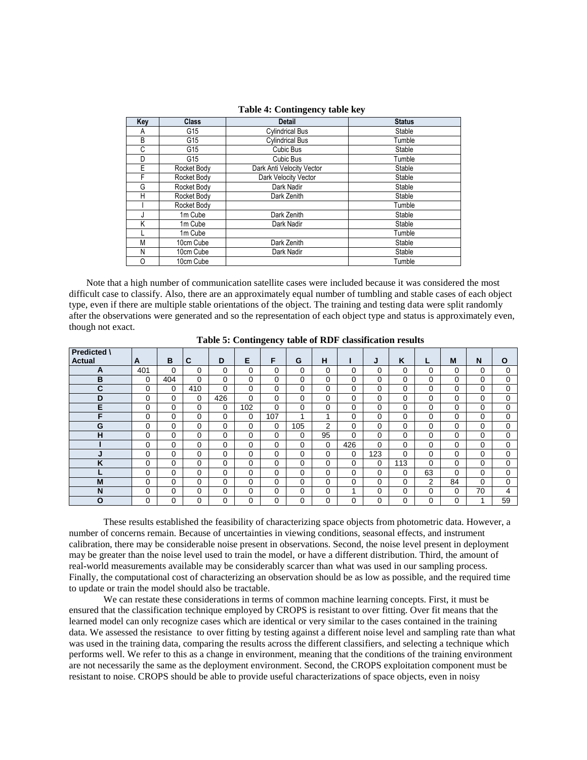<span id="page-6-1"></span>

| Key | <b>Class</b> | <b>Detail</b>             | <b>Status</b> |
|-----|--------------|---------------------------|---------------|
| A   | G15          | <b>Cylindrical Bus</b>    | Stable        |
| B   | G15          | <b>Cylindrical Bus</b>    | Tumble        |
| C   | G15          | Cubic Bus                 | Stable        |
| D   | G15          | Cubic Bus                 | Tumble        |
| E   | Rocket Body  | Dark Anti Velocity Vector | Stable        |
| F   | Rocket Body  | Dark Velocity Vector      | Stable        |
| G   | Rocket Body  | Dark Nadir                | Stable        |
| н   | Rocket Body  | Dark Zenith               | Stable        |
|     | Rocket Body  |                           | Tumble        |
|     | 1m Cube      | Dark Zenith               | Stable        |
| Κ   | 1m Cube      | Dark Nadir                | Stable        |
|     | 1m Cube      |                           | Tumble        |
| М   | 10cm Cube    | Dark Zenith               | Stable        |
| N   | 10cm Cube    | Dark Nadir                | Stable        |
| O   | 10cm Cube    |                           | Tumble        |

**Table 4: Contingency table key**

Note that a high number of communication satellite cases were included because it was considered the most difficult case to classify. Also, there are an approximately equal number of tumbling and stable cases of each object type, even if there are multiple stable orientations of the object. The training and testing data were split randomly after the observations were generated and so the representation of each object type and status is approximately even, though not exact.

<span id="page-6-0"></span>

| Predicted \ |          |          |          |          |          | ັ        |          |          |          |     |          |    |    |          |          |
|-------------|----------|----------|----------|----------|----------|----------|----------|----------|----------|-----|----------|----|----|----------|----------|
| Actual      | A        | B        | C        | D        | Е        | F        | G        | н        |          | J   | Κ        | L  | M  | N        | O        |
|             |          |          |          |          |          |          |          |          |          |     |          |    |    |          |          |
| A           | 401      | $\Omega$ | 0        | 0        | $\Omega$ | $\Omega$ | $\Omega$ | 0        | $\Omega$ | 0   | 0        | 0  | 0  | 0        | 0        |
| B           | $\Omega$ | 404      | $\Omega$ | $\Omega$ | $\Omega$ | $\Omega$ | $\Omega$ | 0        | $\Omega$ | 0   | $\Omega$ | 0  | 0  | $\Omega$ | 0        |
| C           | 0        | 0        | 410      | 0        | 0        | 0        | 0        | 0        | $\Omega$ | 0   | 0        | 0  | 0  | 0        | $\Omega$ |
| D           | 0        | 0        | 0        | 426      | $\Omega$ | $\Omega$ | 0        | 0        | $\Omega$ | 0   | 0        | 0  | 0  | 0        | 0        |
| Е           | 0        | 0        | $\Omega$ | 0        | 102      | 0        | 0        | 0        | $\Omega$ | 0   | 0        | 0  | 0  | 0        | 0        |
| F           | 0        | 0        | $\Omega$ | 0        | 0        | 107      | и        | 4        | $\Omega$ | 0   | 0        | 0  | 0  | 0        | $\Omega$ |
| G           | 0        | $\Omega$ | 0        | 0        | $\Omega$ | $\Omega$ | 105      | 2        | $\Omega$ | 0   | 0        | 0  | 0  | 0        | 0        |
| н           | 0        | $\Omega$ | $\Omega$ | 0        | $\Omega$ | $\Omega$ | 0        | 95       | $\Omega$ | 0   | 0        | 0  | 0  | 0        | 0        |
|             | 0        | 0        | $\Omega$ | 0        | $\Omega$ | 0        | $\Omega$ | $\Omega$ | 426      | 0   | 0        | 0  | 0  | $\Omega$ | 0        |
| ۰.          | 0        | 0        | 0        | 0        | 0        | 0        | 0        | 0        | $\Omega$ | 123 | 0        | 0  | 0  | 0        | 0        |
| ĸ           | 0        | 0        | 0        | 0        | 0        | 0        | 0        | 0        | $\Omega$ | 0   | 113      | 0  | 0  | 0        | 0        |
|             | 0        | 0        | $\Omega$ | 0        | $\Omega$ | $\Omega$ | 0        | 0        | $\Omega$ | 0   | 0        | 63 | 0  | $\Omega$ | $\Omega$ |
| M           | 0        | 0        | $\Omega$ | 0        | $\Omega$ | $\Omega$ | $\Omega$ | 0        | $\Omega$ | 0   | 0        | 2  | 84 | 0        | 0        |
| N           | 0        | 0        | 0        | 0        | $\Omega$ | $\Omega$ | $\Omega$ | 0        |          | 0   | 0        | 0  | 0  | 70       | 4        |
| O           | 0        | $\Omega$ | 0        | 0        | $\Omega$ | $\Omega$ | 0        | 0        | $\Omega$ | 0   | 0        | 0  | 0  | и        | 59       |

**Table 5: Contingency table of RDF classification results**

These results established the feasibility of characterizing space objects from photometric data. However, a number of concerns remain. Because of uncertainties in viewing conditions, seasonal effects, and instrument calibration, there may be considerable noise present in observations. Second, the noise level present in deployment may be greater than the noise level used to train the model, or have a different distribution. Third, the amount of real-world measurements available may be considerably scarcer than what was used in our sampling process. Finally, the computational cost of characterizing an observation should be as low as possible, and the required time to update or train the model should also be tractable.

We can restate these considerations in terms of common machine learning concepts. First, it must be ensured that the classification technique employed by CROPS is resistant to over fitting. Over fit means that the learned model can only recognize cases which are identical or very similar to the cases contained in the training data. We assessed the resistance to over fitting by testing against a different noise level and sampling rate than what was used in the training data, comparing the results across the different classifiers, and selecting a technique which performs well. We refer to this as a change in environment, meaning that the conditions of the training environment are not necessarily the same as the deployment environment. Second, the CROPS exploitation component must be resistant to noise. CROPS should be able to provide useful characterizations of space objects, even in noisy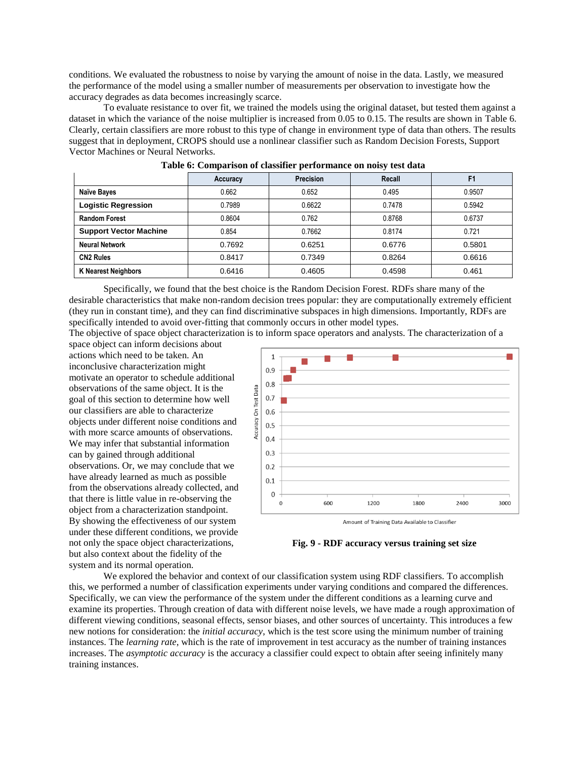conditions. We evaluated the robustness to noise by varying the amount of noise in the data. Lastly, we measured the performance of the model using a smaller number of measurements per observation to investigate how the accuracy degrades as data becomes increasingly scarce.

To evaluate resistance to over fit, we trained the models using the original dataset, but tested them against a dataset in which the variance of the noise multiplier is increased from 0.05 to 0.15. The results are shown in [Table 6.](#page-7-0) Clearly, certain classifiers are more robust to this type of change in environment type of data than others. The results suggest that in deployment, CROPS should use a nonlinear classifier such as Random Decision Forests, Support Vector Machines or Neural Networks.

<span id="page-7-0"></span>

|                               | Accuracy | <b>Precision</b> | Recall | F <sub>1</sub> |
|-------------------------------|----------|------------------|--------|----------------|
| Naïve Bayes                   | 0.662    | 0.652            | 0.495  | 0.9507         |
| <b>Logistic Regression</b>    | 0.7989   | 0.6622           | 0.7478 | 0.5942         |
| <b>Random Forest</b>          | 0.8604   | 0.762            | 0.8768 | 0.6737         |
| <b>Support Vector Machine</b> | 0.854    | 0.7662           | 0.8174 | 0.721          |
| <b>Neural Network</b>         | 0.7692   | 0.6251           | 0.6776 | 0.5801         |
| <b>CN2 Rules</b>              | 0.8417   | 0.7349           | 0.8264 | 0.6616         |
| <b>K Nearest Neighbors</b>    | 0.6416   | 0.4605           | 0.4598 | 0.461          |

#### **Table 6: Comparison of classifier performance on noisy test data**

Specifically, we found that the best choice is the Random Decision Forest. RDFs share many of the desirable characteristics that make non-random decision trees popular: they are computationally extremely efficient (they run in constant time), and they can find discriminative subspaces in high dimensions. Importantly, RDFs are specifically intended to avoid over-fitting that commonly occurs in other model types.

The objective of space object characterization is to inform space operators and analysts. The characterization of a

space object can inform decisions about actions which need to be taken. An inconclusive characterization might motivate an operator to schedule additional observations of the same object. It is the goal of this section to determine how well our classifiers are able to characterize objects under different noise conditions and with more scarce amounts of observations. We may infer that substantial information can by gained through additional observations. Or, we may conclude that we have already learned as much as possible from the observations already collected, and that there is little value in re-observing the object from a characterization standpoint. By showing the effectiveness of our system under these different conditions, we provide not only the space object characterizations, but also context about the fidelity of the system and its normal operation.





<span id="page-7-1"></span>**Fig. 9 - RDF accuracy versus training set size**

We explored the behavior and context of our classification system using RDF classifiers. To accomplish this, we performed a number of classification experiments under varying conditions and compared the differences. Specifically, we can view the performance of the system under the different conditions as a learning curve and examine its properties. Through creation of data with different noise levels, we have made a rough approximation of different viewing conditions, seasonal effects, sensor biases, and other sources of uncertainty. This introduces a few new notions for consideration: the *initial accuracy*, which is the test score using the minimum number of training instances. The *learning rate*, which is the rate of improvement in test accuracy as the number of training instances increases. The *asymptotic accuracy* is the accuracy a classifier could expect to obtain after seeing infinitely many training instances.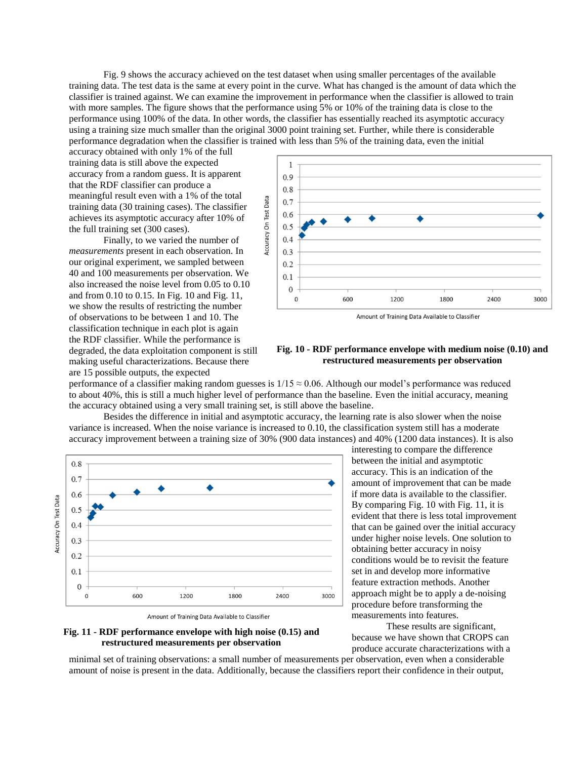[Fig. 9](#page-7-1) shows the accuracy achieved on the test dataset when using smaller percentages of the available training data. The test data is the same at every point in the curve. What has changed is the amount of data which the classifier is trained against. We can examine the improvement in performance when the classifier is allowed to train with more samples. The figure shows that the performance using 5% or 10% of the training data is close to the performance using 100% of the data. In other words, the classifier has essentially reached its asymptotic accuracy using a training size much smaller than the original 3000 point training set. Further, while there is considerable performance degradation when the classifier is trained with less than 5% of the training data, even the initial

accuracy obtained with only 1% of the full training data is still above the expected accuracy from a random guess. It is apparent that the RDF classifier can produce a meaningful result even with a 1% of the total training data (30 training cases). The classifier achieves its asymptotic accuracy after 10% of the full training set (300 cases).

Finally, to we varied the number of *measurements* present in each observation. In our original experiment, we sampled between 40 and 100 measurements per observation. We also increased the noise level from 0.05 to 0.10 and from 0.10 to 0.15. In [Fig. 10](#page-8-0) and [Fig. 11,](#page-8-1) we show the results of restricting the number of observations to be between 1 and 10. The classification technique in each plot is again the RDF classifier. While the performance is degraded, the data exploitation component is still making useful characterizations. Because there are 15 possible outputs, the expected



Amount of Training Data Available to Classifier

#### <span id="page-8-0"></span>**Fig. 10 - RDF performance envelope with medium noise (0.10) and restructured measurements per observation**

performance of a classifier making random guesses is  $1/15 \approx 0.06$ . Although our model's performance was reduced to about 40%, this is still a much higher level of performance than the baseline. Even the initial accuracy, meaning the accuracy obtained using a very small training set, is still above the baseline.

Besides the difference in initial and asymptotic accuracy, the learning rate is also slower when the noise variance is increased. When the noise variance is increased to 0.10, the classification system still has a moderate accuracy improvement between a training size of 30% (900 data instances) and 40% (1200 data instances). It is also



Amount of Training Data Available to Classifier

<span id="page-8-1"></span>

interesting to compare the difference between the initial and asymptotic accuracy. This is an indication of the amount of improvement that can be made if more data is available to the classifier. By comparing [Fig. 10](#page-8-0) with [Fig. 11,](#page-8-1) it is evident that there is less total improvement that can be gained over the initial accuracy under higher noise levels. One solution to obtaining better accuracy in noisy conditions would be to revisit the feature set in and develop more informative feature extraction methods. Another approach might be to apply a de-noising procedure before transforming the measurements into features.

These results are significant, because we have shown that CROPS can produce accurate characterizations with a

minimal set of training observations: a small number of measurements per observation, even when a considerable amount of noise is present in the data. Additionally, because the classifiers report their confidence in their output,